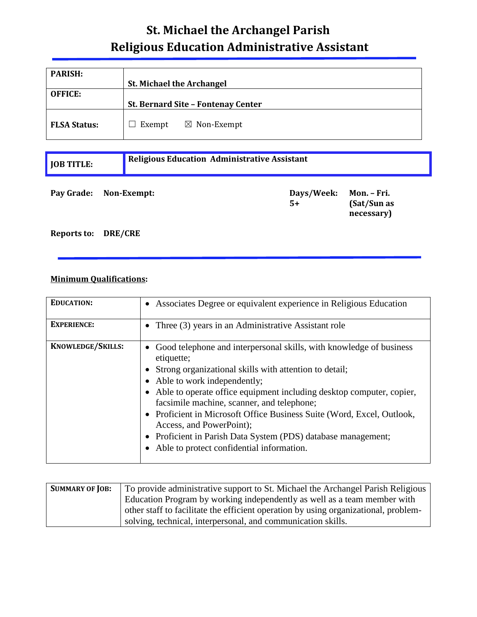## **St. Michael the Archangel Parish Religious Education Administrative Assistant**

| <b>PARISH:</b>      | <b>St. Michael the Archangel</b>   |
|---------------------|------------------------------------|
| <b>OFFICE:</b>      | St. Bernard Site - Fontenay Center |
| <b>FLSA Status:</b> | $\boxtimes$ Non-Exempt<br>Exempt   |

| <b>JOB TITLE:</b>      | <b>Religious Education Administrative Assistant</b> |                    |                                          |
|------------------------|-----------------------------------------------------|--------------------|------------------------------------------|
| Pay Grade: Non-Exempt: |                                                     | Days/Week:<br>$5+$ | Mon. – Fri.<br>(Sat/Sun as<br>necessary) |

## **Reports to: DRE/CRE**

## **Minimum Qualifications:**

| <b>EDUCATION:</b>        | • Associates Degree or equivalent experience in Religious Education                                                                                                                                                                                                                                                                                                                                                                                                                                                            |
|--------------------------|--------------------------------------------------------------------------------------------------------------------------------------------------------------------------------------------------------------------------------------------------------------------------------------------------------------------------------------------------------------------------------------------------------------------------------------------------------------------------------------------------------------------------------|
| <b>EXPERIENCE:</b>       | • Three $(3)$ years in an Administrative Assistant role                                                                                                                                                                                                                                                                                                                                                                                                                                                                        |
| <b>KNOWLEDGE/SKILLS:</b> | • Good telephone and interpersonal skills, with knowledge of business<br>etiquette;<br>• Strong organizational skills with attention to detail;<br>• Able to work independently;<br>• Able to operate office equipment including desktop computer, copier,<br>facsimile machine, scanner, and telephone;<br>• Proficient in Microsoft Office Business Suite (Word, Excel, Outlook,<br>Access, and PowerPoint);<br>• Proficient in Parish Data System (PDS) database management;<br>• Able to protect confidential information. |

| <b>SUMMARY OF JOB:</b> | To provide administrative support to St. Michael the Archangel Parish Religious     |
|------------------------|-------------------------------------------------------------------------------------|
|                        | Education Program by working independently as well as a team member with            |
|                        | other staff to facilitate the efficient operation by using organizational, problem- |
|                        | solving, technical, interpersonal, and communication skills.                        |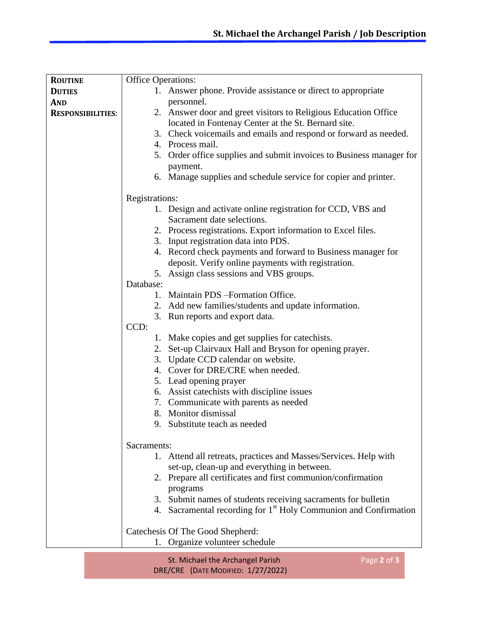| <b>Office Operations:</b><br><b>ROUTINE</b><br>1. Answer phone. Provide assistance or direct to appropriate<br><b>DUTIES</b><br>personnel.<br><b>AND</b><br>2. Answer door and greet visitors to Religious Education Office<br><b>RESPONSIBILITIES:</b><br>located in Fontenay Center at the St. Bernard site.<br>3. Check voicemails and emails and respond or forward as needed.<br>4. Process mail.<br>5. Order office supplies and submit invoices to Business manager for<br>payment.<br>6. Manage supplies and schedule service for copier and printer.<br>Registrations:<br>1. Design and activate online registration for CCD, VBS and<br>Sacrament date selections.<br>2. Process registrations. Export information to Excel files.<br>3. Input registration data into PDS.<br>4. Record check payments and forward to Business manager for<br>deposit. Verify online payments with registration.<br>5. Assign class sessions and VBS groups.<br>Database:<br>1. Maintain PDS - Formation Office.<br>2. Add new families/students and update information.<br>3. Run reports and export data.<br>CCD:<br>1. Make copies and get supplies for catechists.<br>2. Set-up Clairvaux Hall and Bryson for opening prayer.<br>3. Update CCD calendar on website.<br>4. Cover for DRE/CRE when needed.<br>5. Lead opening prayer<br>6. Assist catechists with discipline issues<br>7. Communicate with parents as needed<br>8. Monitor dismissal<br>9. Substitute teach as needed<br>Sacraments: |
|--------------------------------------------------------------------------------------------------------------------------------------------------------------------------------------------------------------------------------------------------------------------------------------------------------------------------------------------------------------------------------------------------------------------------------------------------------------------------------------------------------------------------------------------------------------------------------------------------------------------------------------------------------------------------------------------------------------------------------------------------------------------------------------------------------------------------------------------------------------------------------------------------------------------------------------------------------------------------------------------------------------------------------------------------------------------------------------------------------------------------------------------------------------------------------------------------------------------------------------------------------------------------------------------------------------------------------------------------------------------------------------------------------------------------------------------------------------------------------------------------|
|                                                                                                                                                                                                                                                                                                                                                                                                                                                                                                                                                                                                                                                                                                                                                                                                                                                                                                                                                                                                                                                                                                                                                                                                                                                                                                                                                                                                                                                                                                  |
|                                                                                                                                                                                                                                                                                                                                                                                                                                                                                                                                                                                                                                                                                                                                                                                                                                                                                                                                                                                                                                                                                                                                                                                                                                                                                                                                                                                                                                                                                                  |
|                                                                                                                                                                                                                                                                                                                                                                                                                                                                                                                                                                                                                                                                                                                                                                                                                                                                                                                                                                                                                                                                                                                                                                                                                                                                                                                                                                                                                                                                                                  |
|                                                                                                                                                                                                                                                                                                                                                                                                                                                                                                                                                                                                                                                                                                                                                                                                                                                                                                                                                                                                                                                                                                                                                                                                                                                                                                                                                                                                                                                                                                  |
|                                                                                                                                                                                                                                                                                                                                                                                                                                                                                                                                                                                                                                                                                                                                                                                                                                                                                                                                                                                                                                                                                                                                                                                                                                                                                                                                                                                                                                                                                                  |
|                                                                                                                                                                                                                                                                                                                                                                                                                                                                                                                                                                                                                                                                                                                                                                                                                                                                                                                                                                                                                                                                                                                                                                                                                                                                                                                                                                                                                                                                                                  |
|                                                                                                                                                                                                                                                                                                                                                                                                                                                                                                                                                                                                                                                                                                                                                                                                                                                                                                                                                                                                                                                                                                                                                                                                                                                                                                                                                                                                                                                                                                  |
|                                                                                                                                                                                                                                                                                                                                                                                                                                                                                                                                                                                                                                                                                                                                                                                                                                                                                                                                                                                                                                                                                                                                                                                                                                                                                                                                                                                                                                                                                                  |
|                                                                                                                                                                                                                                                                                                                                                                                                                                                                                                                                                                                                                                                                                                                                                                                                                                                                                                                                                                                                                                                                                                                                                                                                                                                                                                                                                                                                                                                                                                  |
|                                                                                                                                                                                                                                                                                                                                                                                                                                                                                                                                                                                                                                                                                                                                                                                                                                                                                                                                                                                                                                                                                                                                                                                                                                                                                                                                                                                                                                                                                                  |
|                                                                                                                                                                                                                                                                                                                                                                                                                                                                                                                                                                                                                                                                                                                                                                                                                                                                                                                                                                                                                                                                                                                                                                                                                                                                                                                                                                                                                                                                                                  |
|                                                                                                                                                                                                                                                                                                                                                                                                                                                                                                                                                                                                                                                                                                                                                                                                                                                                                                                                                                                                                                                                                                                                                                                                                                                                                                                                                                                                                                                                                                  |
|                                                                                                                                                                                                                                                                                                                                                                                                                                                                                                                                                                                                                                                                                                                                                                                                                                                                                                                                                                                                                                                                                                                                                                                                                                                                                                                                                                                                                                                                                                  |
|                                                                                                                                                                                                                                                                                                                                                                                                                                                                                                                                                                                                                                                                                                                                                                                                                                                                                                                                                                                                                                                                                                                                                                                                                                                                                                                                                                                                                                                                                                  |
|                                                                                                                                                                                                                                                                                                                                                                                                                                                                                                                                                                                                                                                                                                                                                                                                                                                                                                                                                                                                                                                                                                                                                                                                                                                                                                                                                                                                                                                                                                  |
|                                                                                                                                                                                                                                                                                                                                                                                                                                                                                                                                                                                                                                                                                                                                                                                                                                                                                                                                                                                                                                                                                                                                                                                                                                                                                                                                                                                                                                                                                                  |
|                                                                                                                                                                                                                                                                                                                                                                                                                                                                                                                                                                                                                                                                                                                                                                                                                                                                                                                                                                                                                                                                                                                                                                                                                                                                                                                                                                                                                                                                                                  |
|                                                                                                                                                                                                                                                                                                                                                                                                                                                                                                                                                                                                                                                                                                                                                                                                                                                                                                                                                                                                                                                                                                                                                                                                                                                                                                                                                                                                                                                                                                  |
|                                                                                                                                                                                                                                                                                                                                                                                                                                                                                                                                                                                                                                                                                                                                                                                                                                                                                                                                                                                                                                                                                                                                                                                                                                                                                                                                                                                                                                                                                                  |
|                                                                                                                                                                                                                                                                                                                                                                                                                                                                                                                                                                                                                                                                                                                                                                                                                                                                                                                                                                                                                                                                                                                                                                                                                                                                                                                                                                                                                                                                                                  |
|                                                                                                                                                                                                                                                                                                                                                                                                                                                                                                                                                                                                                                                                                                                                                                                                                                                                                                                                                                                                                                                                                                                                                                                                                                                                                                                                                                                                                                                                                                  |
|                                                                                                                                                                                                                                                                                                                                                                                                                                                                                                                                                                                                                                                                                                                                                                                                                                                                                                                                                                                                                                                                                                                                                                                                                                                                                                                                                                                                                                                                                                  |
|                                                                                                                                                                                                                                                                                                                                                                                                                                                                                                                                                                                                                                                                                                                                                                                                                                                                                                                                                                                                                                                                                                                                                                                                                                                                                                                                                                                                                                                                                                  |
|                                                                                                                                                                                                                                                                                                                                                                                                                                                                                                                                                                                                                                                                                                                                                                                                                                                                                                                                                                                                                                                                                                                                                                                                                                                                                                                                                                                                                                                                                                  |
|                                                                                                                                                                                                                                                                                                                                                                                                                                                                                                                                                                                                                                                                                                                                                                                                                                                                                                                                                                                                                                                                                                                                                                                                                                                                                                                                                                                                                                                                                                  |
|                                                                                                                                                                                                                                                                                                                                                                                                                                                                                                                                                                                                                                                                                                                                                                                                                                                                                                                                                                                                                                                                                                                                                                                                                                                                                                                                                                                                                                                                                                  |
|                                                                                                                                                                                                                                                                                                                                                                                                                                                                                                                                                                                                                                                                                                                                                                                                                                                                                                                                                                                                                                                                                                                                                                                                                                                                                                                                                                                                                                                                                                  |
|                                                                                                                                                                                                                                                                                                                                                                                                                                                                                                                                                                                                                                                                                                                                                                                                                                                                                                                                                                                                                                                                                                                                                                                                                                                                                                                                                                                                                                                                                                  |
|                                                                                                                                                                                                                                                                                                                                                                                                                                                                                                                                                                                                                                                                                                                                                                                                                                                                                                                                                                                                                                                                                                                                                                                                                                                                                                                                                                                                                                                                                                  |
|                                                                                                                                                                                                                                                                                                                                                                                                                                                                                                                                                                                                                                                                                                                                                                                                                                                                                                                                                                                                                                                                                                                                                                                                                                                                                                                                                                                                                                                                                                  |
|                                                                                                                                                                                                                                                                                                                                                                                                                                                                                                                                                                                                                                                                                                                                                                                                                                                                                                                                                                                                                                                                                                                                                                                                                                                                                                                                                                                                                                                                                                  |
|                                                                                                                                                                                                                                                                                                                                                                                                                                                                                                                                                                                                                                                                                                                                                                                                                                                                                                                                                                                                                                                                                                                                                                                                                                                                                                                                                                                                                                                                                                  |
|                                                                                                                                                                                                                                                                                                                                                                                                                                                                                                                                                                                                                                                                                                                                                                                                                                                                                                                                                                                                                                                                                                                                                                                                                                                                                                                                                                                                                                                                                                  |
|                                                                                                                                                                                                                                                                                                                                                                                                                                                                                                                                                                                                                                                                                                                                                                                                                                                                                                                                                                                                                                                                                                                                                                                                                                                                                                                                                                                                                                                                                                  |
| 1. Attend all retreats, practices and Masses/Services. Help with                                                                                                                                                                                                                                                                                                                                                                                                                                                                                                                                                                                                                                                                                                                                                                                                                                                                                                                                                                                                                                                                                                                                                                                                                                                                                                                                                                                                                                 |
| set-up, clean-up and everything in between.                                                                                                                                                                                                                                                                                                                                                                                                                                                                                                                                                                                                                                                                                                                                                                                                                                                                                                                                                                                                                                                                                                                                                                                                                                                                                                                                                                                                                                                      |
| 2. Prepare all certificates and first communion/confirmation                                                                                                                                                                                                                                                                                                                                                                                                                                                                                                                                                                                                                                                                                                                                                                                                                                                                                                                                                                                                                                                                                                                                                                                                                                                                                                                                                                                                                                     |
| programs                                                                                                                                                                                                                                                                                                                                                                                                                                                                                                                                                                                                                                                                                                                                                                                                                                                                                                                                                                                                                                                                                                                                                                                                                                                                                                                                                                                                                                                                                         |
| 3. Submit names of students receiving sacraments for bulletin                                                                                                                                                                                                                                                                                                                                                                                                                                                                                                                                                                                                                                                                                                                                                                                                                                                                                                                                                                                                                                                                                                                                                                                                                                                                                                                                                                                                                                    |
| 4. Sacramental recording for 1 <sup>st</sup> Holy Communion and Confirmation                                                                                                                                                                                                                                                                                                                                                                                                                                                                                                                                                                                                                                                                                                                                                                                                                                                                                                                                                                                                                                                                                                                                                                                                                                                                                                                                                                                                                     |
|                                                                                                                                                                                                                                                                                                                                                                                                                                                                                                                                                                                                                                                                                                                                                                                                                                                                                                                                                                                                                                                                                                                                                                                                                                                                                                                                                                                                                                                                                                  |
| Catechesis Of The Good Shepherd:                                                                                                                                                                                                                                                                                                                                                                                                                                                                                                                                                                                                                                                                                                                                                                                                                                                                                                                                                                                                                                                                                                                                                                                                                                                                                                                                                                                                                                                                 |
| 1. Organize volunteer schedule                                                                                                                                                                                                                                                                                                                                                                                                                                                                                                                                                                                                                                                                                                                                                                                                                                                                                                                                                                                                                                                                                                                                                                                                                                                                                                                                                                                                                                                                   |

St. Michael the Archangel Parish DRE/CRE (DATE MODIFIED: 1/27/2022)